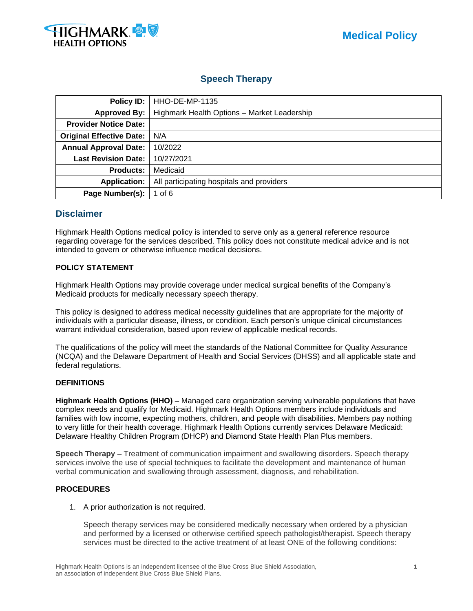

# **Speech Therapy**

| Policy ID:                      | <b>HHO-DE-MP-1135</b>                       |  |
|---------------------------------|---------------------------------------------|--|
| <b>Approved By:</b>             | Highmark Health Options - Market Leadership |  |
| <b>Provider Notice Date:</b>    |                                             |  |
| <b>Original Effective Date:</b> | N/A                                         |  |
| <b>Annual Approval Date:</b>    | 10/2022                                     |  |
| <b>Last Revision Date:</b>      | 10/27/2021                                  |  |
| <b>Products:</b>                | Medicaid                                    |  |
| <b>Application:</b>             | All participating hospitals and providers   |  |
| Page Number(s):                 | 1 of $6$                                    |  |

# **Disclaimer**

Highmark Health Options medical policy is intended to serve only as a general reference resource regarding coverage for the services described. This policy does not constitute medical advice and is not intended to govern or otherwise influence medical decisions.

# **POLICY STATEMENT**

Highmark Health Options may provide coverage under medical surgical benefits of the Company's Medicaid products for medically necessary speech therapy.

This policy is designed to address medical necessity guidelines that are appropriate for the majority of individuals with a particular disease, illness, or condition. Each person's unique clinical circumstances warrant individual consideration, based upon review of applicable medical records.

The qualifications of the policy will meet the standards of the National Committee for Quality Assurance (NCQA) and the Delaware Department of Health and Social Services (DHSS) and all applicable state and federal regulations.

#### **DEFINITIONS**

**Highmark Health Options (HHO)** – Managed care organization serving vulnerable populations that have complex needs and qualify for Medicaid. Highmark Health Options members include individuals and families with low income, expecting mothers, children, and people with disabilities. Members pay nothing to very little for their health coverage. Highmark Health Options currently services Delaware Medicaid: Delaware Healthy Children Program (DHCP) and Diamond State Health Plan Plus members.

**Speech Therapy** – Treatment of communication impairment and swallowing disorders. Speech therapy services involve the use of special techniques to facilitate the development and maintenance of human verbal communication and swallowing through assessment, diagnosis, and rehabilitation.

#### **PROCEDURES**

1. A prior authorization is not required.

Speech therapy services may be considered medically necessary when ordered by a physician and performed by a licensed or otherwise certified speech pathologist/therapist. Speech therapy services must be directed to the active treatment of at least ONE of the following conditions: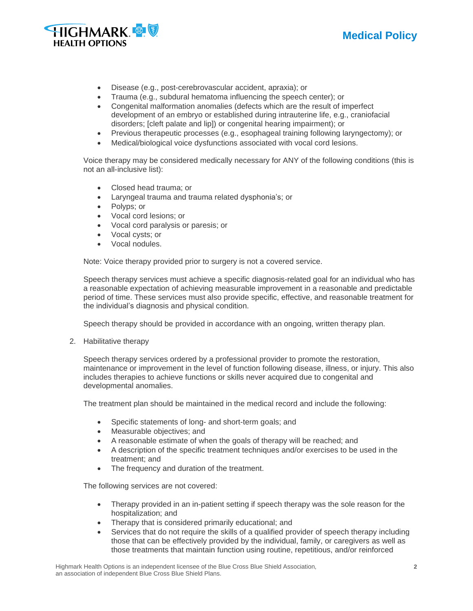



- Disease (e.g., post-cerebrovascular accident, apraxia); or
- Trauma (e.g., subdural hematoma influencing the speech center); or
- Congenital malformation anomalies (defects which are the result of imperfect development of an embryo or established during intrauterine life, e.g., craniofacial disorders; [cleft palate and lip]) or congenital hearing impairment); or
- Previous therapeutic processes (e.g., esophageal training following laryngectomy); or
- Medical/biological voice dysfunctions associated with vocal cord lesions.

Voice therapy may be considered medically necessary for ANY of the following conditions (this is not an all-inclusive list):

- Closed head trauma; or
- Laryngeal trauma and trauma related dysphonia's; or
- Polyps; or
- Vocal cord lesions; or
- Vocal cord paralysis or paresis; or
- Vocal cysts; or
- Vocal nodules.

Note: Voice therapy provided prior to surgery is not a covered service.

Speech therapy services must achieve a specific diagnosis-related goal for an individual who has a reasonable expectation of achieving measurable improvement in a reasonable and predictable period of time. These services must also provide specific, effective, and reasonable treatment for the individual's diagnosis and physical condition.

Speech therapy should be provided in accordance with an ongoing, written therapy plan.

2. Habilitative therapy

Speech therapy services ordered by a professional provider to promote the restoration, maintenance or improvement in the level of function following disease, illness, or injury. This also includes therapies to achieve functions or skills never acquired due to congenital and developmental anomalies.

The treatment plan should be maintained in the medical record and include the following:

- Specific statements of long- and short-term goals; and
- Measurable objectives; and
- A reasonable estimate of when the goals of therapy will be reached; and
- A description of the specific treatment techniques and/or exercises to be used in the treatment; and
- The frequency and duration of the treatment.

The following services are not covered:

- Therapy provided in an in-patient setting if speech therapy was the sole reason for the hospitalization; and
- Therapy that is considered primarily educational; and
- Services that do not require the skills of a qualified provider of speech therapy including those that can be effectively provided by the individual, family, or caregivers as well as those treatments that maintain function using routine, repetitious, and/or reinforced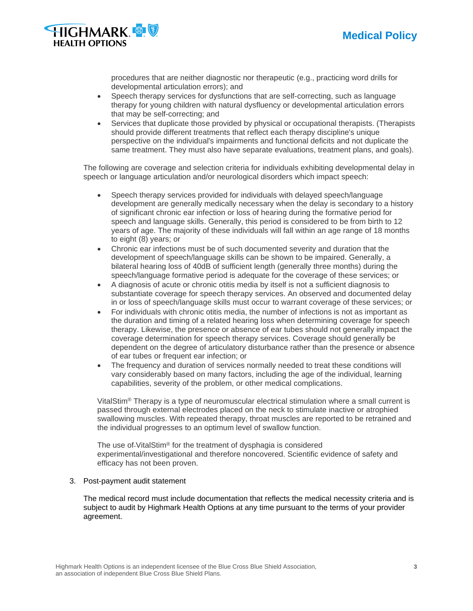



procedures that are neither diagnostic nor therapeutic (e.g., practicing word drills for developmental articulation errors); and

- Speech therapy services for dysfunctions that are self-correcting, such as language therapy for young children with natural dysfluency or developmental articulation errors that may be self-correcting; and
- Services that duplicate those provided by physical or occupational therapists. (Therapists should provide different treatments that reflect each therapy discipline's unique perspective on the individual's impairments and functional deficits and not duplicate the same treatment. They must also have separate evaluations, treatment plans, and goals).

The following are coverage and selection criteria for individuals exhibiting developmental delay in speech or language articulation and/or neurological disorders which impact speech:

- Speech therapy services provided for individuals with delayed speech/language development are generally medically necessary when the delay is secondary to a history of significant chronic ear infection or loss of hearing during the formative period for speech and language skills. Generally, this period is considered to be from birth to 12 years of age. The majority of these individuals will fall within an age range of 18 months to eight (8) years; or
- Chronic ear infections must be of such documented severity and duration that the development of speech/language skills can be shown to be impaired. Generally, a bilateral hearing loss of 40dB of sufficient length (generally three months) during the speech/language formative period is adequate for the coverage of these services; or
- A diagnosis of acute or chronic otitis media by itself is not a sufficient diagnosis to substantiate coverage for speech therapy services. An observed and documented delay in or loss of speech/language skills must occur to warrant coverage of these services; or
- For individuals with chronic otitis media, the number of infections is not as important as the duration and timing of a related hearing loss when determining coverage for speech therapy. Likewise, the presence or absence of ear tubes should not generally impact the coverage determination for speech therapy services. Coverage should generally be dependent on the degree of articulatory disturbance rather than the presence or absence of ear tubes or frequent ear infection; or
- The frequency and duration of services normally needed to treat these conditions will vary considerably based on many factors, including the age of the individual, learning capabilities, severity of the problem, or other medical complications.

VitalStim® Therapy is a type of neuromuscular electrical stimulation where a small current is passed through external electrodes placed on the neck to stimulate inactive or atrophied swallowing muscles. With repeated therapy, throat muscles are reported to be retrained and the individual progresses to an optimum level of swallow function.

The use of-VitalStim<sup>®</sup> for the treatment of dysphagia is considered experimental/investigational and therefore noncovered. Scientific evidence of safety and efficacy has not been proven.

#### 3. Post-payment audit statement

The medical record must include documentation that reflects the medical necessity criteria and is subject to audit by Highmark Health Options at any time pursuant to the terms of your provider agreement.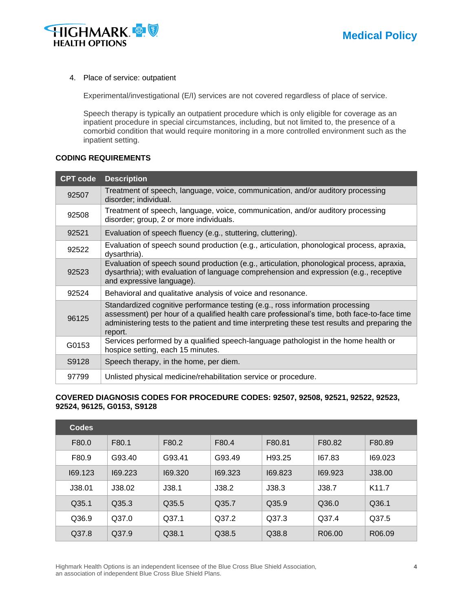



#### 4. Place of service: outpatient

Experimental/investigational (E/I) services are not covered regardless of place of service.

Speech therapy is typically an outpatient procedure which is only eligible for coverage as an inpatient procedure in special circumstances, including, but not limited to, the presence of a comorbid condition that would require monitoring in a more controlled environment such as the inpatient setting.

#### **CODING REQUIREMENTS**

| <b>CPT code</b> | <b>Description</b>                                                                                                                                                                                                                                                                       |
|-----------------|------------------------------------------------------------------------------------------------------------------------------------------------------------------------------------------------------------------------------------------------------------------------------------------|
| 92507           | Treatment of speech, language, voice, communication, and/or auditory processing<br>disorder; individual.                                                                                                                                                                                 |
| 92508           | Treatment of speech, language, voice, communication, and/or auditory processing<br>disorder; group, 2 or more individuals.                                                                                                                                                               |
| 92521           | Evaluation of speech fluency (e.g., stuttering, cluttering).                                                                                                                                                                                                                             |
| 92522           | Evaluation of speech sound production (e.g., articulation, phonological process, apraxia,<br>dysarthria).                                                                                                                                                                                |
| 92523           | Evaluation of speech sound production (e.g., articulation, phonological process, apraxia,<br>dysarthria); with evaluation of language comprehension and expression (e.g., receptive<br>and expressive language).                                                                         |
| 92524           | Behavioral and qualitative analysis of voice and resonance.                                                                                                                                                                                                                              |
| 96125           | Standardized cognitive performance testing (e.g., ross information processing<br>assessment) per hour of a qualified health care professional's time, both face-to-face time<br>administering tests to the patient and time interpreting these test results and preparing the<br>report. |
| G0153           | Services performed by a qualified speech-language pathologist in the home health or<br>hospice setting, each 15 minutes.                                                                                                                                                                 |
| S9128           | Speech therapy, in the home, per diem.                                                                                                                                                                                                                                                   |
| 97799           | Unlisted physical medicine/rehabilitation service or procedure.                                                                                                                                                                                                                          |

#### **COVERED DIAGNOSIS CODES FOR PROCEDURE CODES: 92507, 92508, 92521, 92522, 92523, 92524, 96125, G0153, S9128**

| <b>Codes</b> |         |         |         |         |                    |                    |
|--------------|---------|---------|---------|---------|--------------------|--------------------|
| F80.0        | F80.1   | F80.2   | F80.4   | F80.81  | F80.82             | F80.89             |
| F80.9        | G93.40  | G93.41  | G93.49  | H93.25  | 167.83             | 169.023            |
| 169.123      | 169.223 | 169.320 | 169.323 | 169.823 | 169.923            | J38.00             |
| J38.01       | J38.02  | J38.1   | J38.2   | J38.3   | J38.7              | K <sub>11.7</sub>  |
| Q35.1        | Q35.3   | Q35.5   | Q35.7   | Q35.9   | Q36.0              | Q36.1              |
| Q36.9        | Q37.0   | Q37.1   | Q37.2   | Q37.3   | Q37.4              | Q37.5              |
| Q37.8        | Q37.9   | Q38.1   | Q38.5   | Q38.8   | R <sub>06.00</sub> | R <sub>06.09</sub> |

Highmark Health Options is an independent licensee of the Blue Cross Blue Shield Association, **4** an association of independent Blue Cross Blue Shield Plans.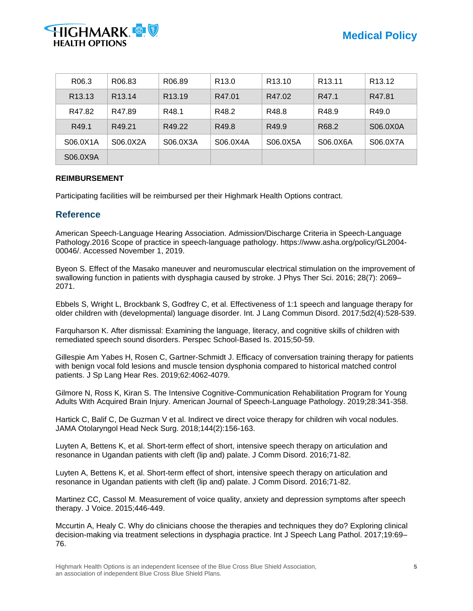

| R <sub>06.3</sub>  | R <sub>06.83</sub> | R <sub>06.89</sub> | R <sub>13.0</sub> | R <sub>13.10</sub> | R <sub>13.11</sub> | R <sub>13.12</sub> |
|--------------------|--------------------|--------------------|-------------------|--------------------|--------------------|--------------------|
| R <sub>13.13</sub> | R <sub>13.14</sub> | R <sub>13.19</sub> | R47.01            | R47.02             | R47.1              | R47.81             |
| R47.82             | R47.89             | R48.1              | R48.2             | R48.8              | R48.9              | R49.0              |
| R49.1              | R49.21             | R49.22             | R49.8             | R49.9              | R68.2              | S06.0X0A           |
| S06.0X1A           | S06.0X2A           | S06.0X3A           | S06.0X4A          | S06.0X5A           | S06.0X6A           | S06.0X7A           |
| S06.0X9A           |                    |                    |                   |                    |                    |                    |

# **REIMBURSEMENT**

Participating facilities will be reimbursed per their Highmark Health Options contract.

# **Reference**

American Speech-Language Hearing Association. Admission/Discharge Criteria in Speech-Language Pathology.2016 Scope of practice in speech-language pathology. https://www.asha.org/policy/GL2004- 00046/. Accessed November 1, 2019.

Byeon S. Effect of the Masako maneuver and neuromuscular electrical stimulation on the improvement of swallowing function in patients with dysphagia caused by stroke. J Phys Ther Sci. 2016; 28(7): 2069– 2071.

Ebbels S, Wright L, Brockbank S, Godfrey C, et al. Effectiveness of 1:1 speech and language therapy for older children with (developmental) language disorder. Int. J Lang Commun Disord. 2017;5d2(4):528-539.

Farquharson K. After dismissal: Examining the language, literacy, and cognitive skills of children with remediated speech sound disorders. Perspec School-Based Is. 2015;50-59.

Gillespie Am Yabes H, Rosen C, Gartner-Schmidt J. Efficacy of conversation training therapy for patients with benign vocal fold lesions and muscle tension dysphonia compared to historical matched control patients. J Sp Lang Hear Res. 2019;62:4062-4079.

Gilmore N, Ross K, Kiran S. The Intensive Cognitive-Communication Rehabilitation Program for Young Adults With Acquired Brain Injury. American Journal of Speech-Language Pathology. 2019;28:341-358.

Hartick C, Balif C, De Guzman V et al. Indirect ve direct voice therapy for children wih vocal nodules. JAMA Otolaryngol Head Neck Surg. 2018;144(2):156-163.

Luyten A, Bettens K, et al. Short-term effect of short, intensive speech therapy on articulation and resonance in Ugandan patients with cleft (lip and) palate. J Comm Disord. 2016;71-82.

Luyten A, Bettens K, et al. Short-term effect of short, intensive speech therapy on articulation and resonance in Ugandan patients with cleft (lip and) palate. J Comm Disord. 2016;71-82.

Martinez CC, Cassol M. Measurement of voice quality, anxiety and depression symptoms after speech therapy. J Voice. 2015;446-449.

Mccurtin A, Healy C. Why do clinicians choose the therapies and techniques they do? Exploring clinical decision-making via treatment selections in dysphagia practice. Int J Speech Lang Pathol. 2017;19:69– 76.